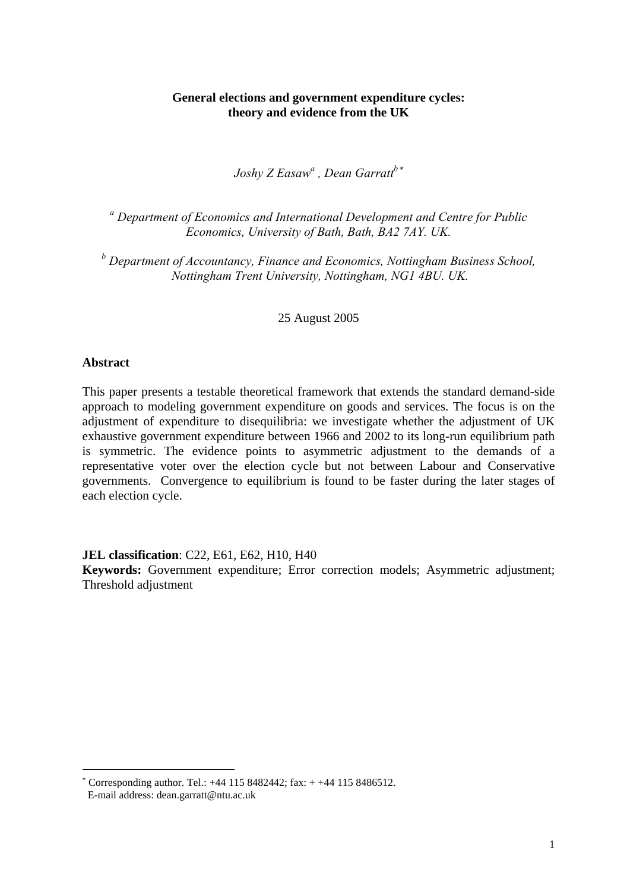## **General elections and government expenditure cycles: theory and evidence from the UK**

*Joshy Z Easawa , Dean Garratt<sup>b</sup>*[∗](#page-0-0)

<sup>a</sup> Department of Economics and International Development and Centre for Public *Economics, University of Bath, Bath, BA2 7AY. UK.* 

*b Department of Accountancy, Finance and Economics, Nottingham Business School, Nottingham Trent University, Nottingham, NG1 4BU. UK.* 

25 August 2005

### **Abstract**

<u>.</u>

This paper presents a testable theoretical framework that extends the standard demand-side approach to modeling government expenditure on goods and services. The focus is on the adjustment of expenditure to disequilibria: we investigate whether the adjustment of UK exhaustive government expenditure between 1966 and 2002 to its long-run equilibrium path is symmetric. The evidence points to asymmetric adjustment to the demands of a representative voter over the election cycle but not between Labour and Conservative governments. Convergence to equilibrium is found to be faster during the later stages of each election cycle.

**JEL classification**: C22, E61, E62, H10, H40

**Keywords:** Government expenditure; Error correction models; Asymmetric adjustment; Threshold adjustment

<span id="page-0-0"></span><sup>∗</sup> Corresponding author. Tel.: +44 115 8482442; fax: + +44 115 8486512. E-mail address: dean.garratt@ntu.ac.uk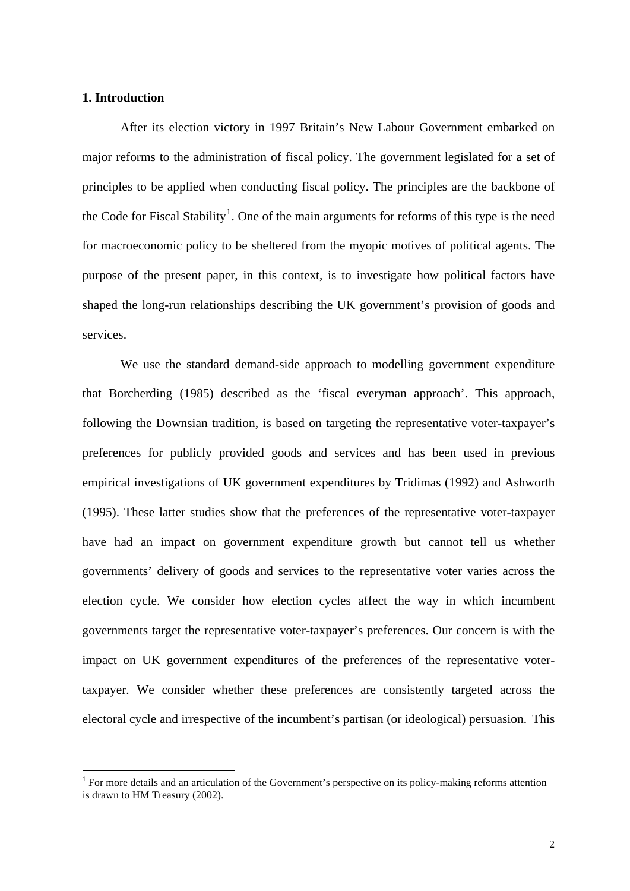## **1. Introduction**

1

After its election victory in 1997 Britain's New Labour Government embarked on major reforms to the administration of fiscal policy. The government legislated for a set of principles to be applied when conducting fiscal policy. The principles are the backbone of the Code for Fiscal Stability<sup>[1](#page-1-0)</sup>. One of the main arguments for reforms of this type is the need for macroeconomic policy to be sheltered from the myopic motives of political agents. The purpose of the present paper, in this context, is to investigate how political factors have shaped the long-run relationships describing the UK government's provision of goods and services.

We use the standard demand-side approach to modelling government expenditure that Borcherding (1985) described as the 'fiscal everyman approach'. This approach, following the Downsian tradition, is based on targeting the representative voter-taxpayer's preferences for publicly provided goods and services and has been used in previous empirical investigations of UK government expenditures by Tridimas (1992) and Ashworth (1995). These latter studies show that the preferences of the representative voter-taxpayer have had an impact on government expenditure growth but cannot tell us whether governments' delivery of goods and services to the representative voter varies across the election cycle. We consider how election cycles affect the way in which incumbent governments target the representative voter-taxpayer's preferences. Our concern is with the impact on UK government expenditures of the preferences of the representative votertaxpayer. We consider whether these preferences are consistently targeted across the electoral cycle and irrespective of the incumbent's partisan (or ideological) persuasion. This

<span id="page-1-0"></span><sup>&</sup>lt;sup>1</sup> For more details and an articulation of the Government's perspective on its policy-making reforms attention is drawn to HM Treasury (2002).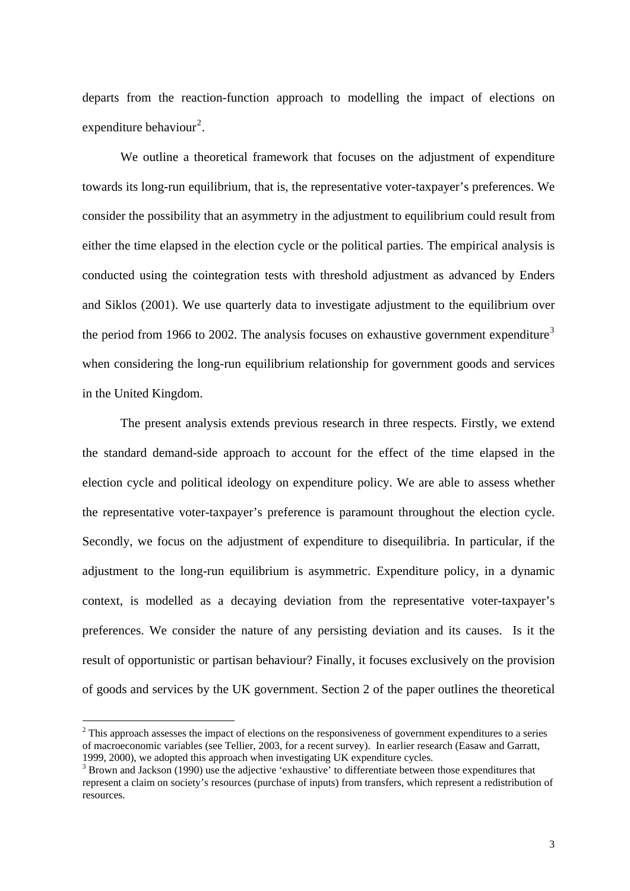departs from the reaction-function approach to modelling the impact of elections on expenditure behaviour<sup>[2](#page-2-0)</sup>.

We outline a theoretical framework that focuses on the adjustment of expenditure towards its long-run equilibrium, that is, the representative voter-taxpayer's preferences. We consider the possibility that an asymmetry in the adjustment to equilibrium could result from either the time elapsed in the election cycle or the political parties. The empirical analysis is conducted using the cointegration tests with threshold adjustment as advanced by Enders and Siklos (2001). We use quarterly data to investigate adjustment to the equilibrium over the period from 1966 to 2002. The analysis focuses on exhaustive government expenditure<sup>[3](#page-2-1)</sup> when considering the long-run equilibrium relationship for government goods and services in the United Kingdom.

 The present analysis extends previous research in three respects. Firstly, we extend the standard demand-side approach to account for the effect of the time elapsed in the election cycle and political ideology on expenditure policy. We are able to assess whether the representative voter-taxpayer's preference is paramount throughout the election cycle. Secondly, we focus on the adjustment of expenditure to disequilibria. In particular, if the adjustment to the long-run equilibrium is asymmetric. Expenditure policy, in a dynamic context, is modelled as a decaying deviation from the representative voter-taxpayer's preferences. We consider the nature of any persisting deviation and its causes. Is it the result of opportunistic or partisan behaviour? Finally, it focuses exclusively on the provision of goods and services by the UK government. Section 2 of the paper outlines the theoretical

<span id="page-2-0"></span> $2$  This approach assesses the impact of elections on the responsiveness of government expenditures to a series of macroeconomic variables (see Tellier, 2003, for a recent survey). In earlier research (Easaw and Garratt, 1999, 2000), we adopted this approach when investigating UK expenditure cycles. 3

<span id="page-2-1"></span><sup>&</sup>lt;sup>3</sup> Brown and Jackson (1990) use the adjective 'exhaustive' to differentiate between those expenditures that represent a claim on society's resources (purchase of inputs) from transfers, which represent a redistribution of resources.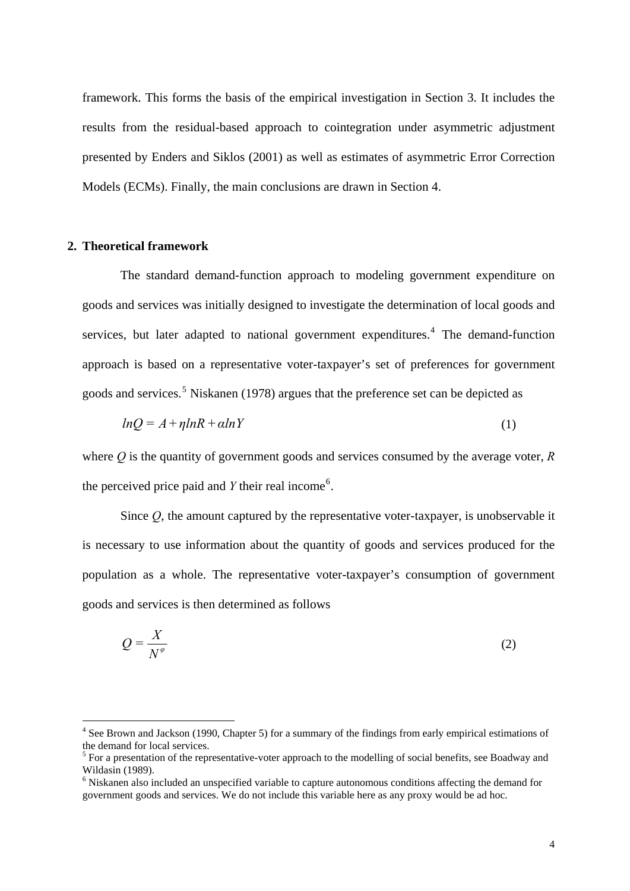framework. This forms the basis of the empirical investigation in Section 3. It includes the results from the residual-based approach to cointegration under asymmetric adjustment presented by Enders and Siklos (2001) as well as estimates of asymmetric Error Correction Models (ECMs). Finally, the main conclusions are drawn in Section 4.

## **2. Theoretical framework**

1

The standard demand-function approach to modeling government expenditure on goods and services was initially designed to investigate the determination of local goods and services, but later adapted to national government expenditures.<sup>[4](#page-3-0)</sup> The demand-function approach is based on a representative voter-taxpayer's set of preferences for government goods and services.<sup>[5](#page-3-1)</sup> Niskanen (1978) argues that the preference set can be depicted as

$$
lnQ = A + \eta lnR + \alpha lnY \tag{1}
$$

where *Q* is the quantity of government goods and services consumed by the average voter, *R* the perceived price paid and  $Y$  their real income<sup>[6](#page-3-2)</sup>.

Since *Q*, the amount captured by the representative voter-taxpayer, is unobservable it is necessary to use information about the quantity of goods and services produced for the population as a whole. The representative voter-taxpayer's consumption of government goods and services is then determined as follows

$$
Q = \frac{X}{N^{\varphi}}
$$
 (2)

<span id="page-3-0"></span><sup>&</sup>lt;sup>4</sup> See Brown and Jackson (1990, Chapter 5) for a summary of the findings from early empirical estimations of the demand for local services.

<span id="page-3-1"></span><sup>&</sup>lt;sup>5</sup> For a presentation of the representative-voter approach to the modelling of social benefits, see Boadway and Wildasin (1989).

<span id="page-3-2"></span><sup>&</sup>lt;sup>6</sup> Niskanen also included an unspecified variable to capture autonomous conditions affecting the demand for government goods and services. We do not include this variable here as any proxy would be ad hoc.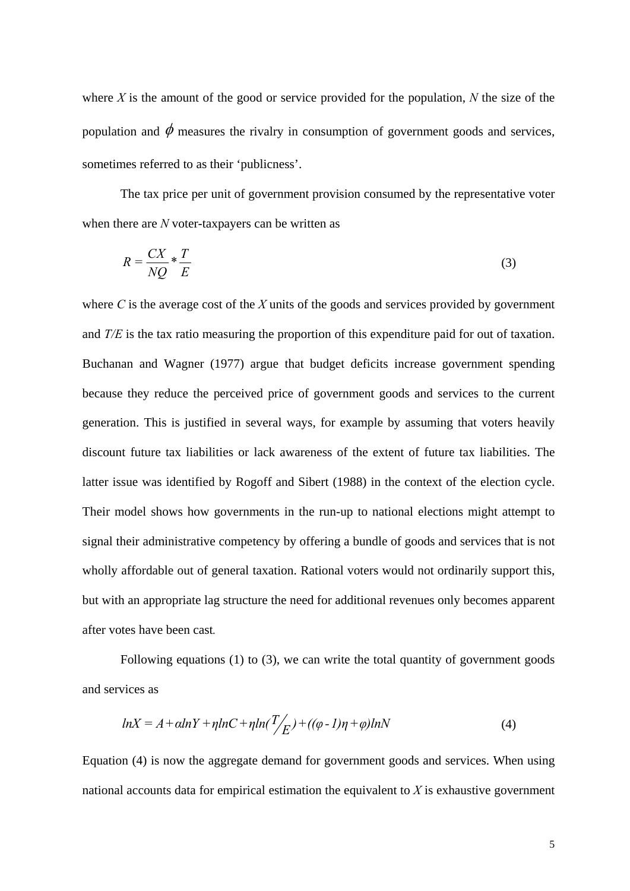where *X* is the amount of the good or service provided for the population, *N* the size of the population and  $\phi$  measures the rivalry in consumption of government goods and services, sometimes referred to as their 'publicness'.

The tax price per unit of government provision consumed by the representative voter when there are *N* voter-taxpayers can be written as

$$
R = \frac{CX}{NQ} * \frac{T}{E}
$$
 (3)

where *C* is the average cost of the *X* units of the goods and services provided by government and *T/E* is the tax ratio measuring the proportion of this expenditure paid for out of taxation. Buchanan and Wagner (1977) argue that budget deficits increase government spending because they reduce the perceived price of government goods and services to the current generation. This is justified in several ways, for example by assuming that voters heavily discount future tax liabilities or lack awareness of the extent of future tax liabilities. The latter issue was identified by Rogoff and Sibert (1988) in the context of the election cycle. Their model shows how governments in the run-up to national elections might attempt to signal their administrative competency by offering a bundle of goods and services that is not wholly affordable out of general taxation. Rational voters would not ordinarily support this, but with an appropriate lag structure the need for additional revenues only becomes apparent after votes have been cast*.*

Following equations (1) to (3), we can write the total quantity of government goods and services as

$$
lnX = A + \alpha lnY + \eta lnC + \eta ln(\frac{T}{E}) + ((\varphi - 1)\eta + \varphi)lnN
$$
\n(4)

Equation (4) is now the aggregate demand for government goods and services. When using national accounts data for empirical estimation the equivalent to *X* is exhaustive government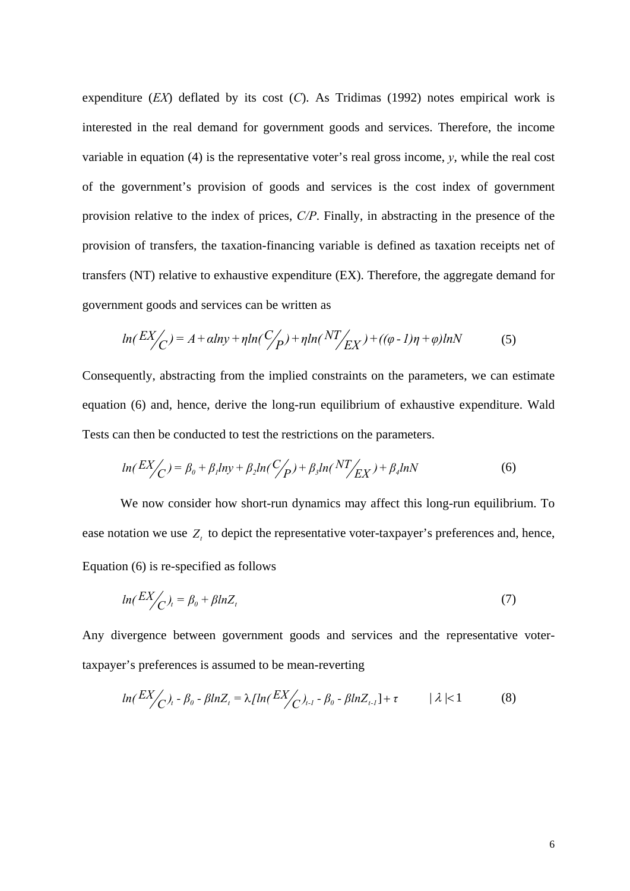expenditure (*EX*) deflated by its cost (*C*). As Tridimas (1992) notes empirical work is interested in the real demand for government goods and services. Therefore, the income variable in equation (4) is the representative voter's real gross income,  $v$ , while the real cost of the government's provision of goods and services is the cost index of government provision relative to the index of prices, *C/P*. Finally, in abstracting in the presence of the provision of transfers, the taxation-financing variable is defined as taxation receipts net of transfers (NT) relative to exhaustive expenditure (EX). Therefore, the aggregate demand for government goods and services can be written as

$$
ln(EX_{\bigwedge}^{\prime}) = A + alny + \eta ln(\frac{C_{\bigwedge}^{\prime}}{P}) + \eta ln(NT_{\bigwedge}^{\prime}) + ((\varphi - 1)\eta + \varphi)lnN
$$
 (5)

Consequently, abstracting from the implied constraints on the parameters, we can estimate equation (6) and, hence, derive the long-run equilibrium of exhaustive expenditure. Wald Tests can then be conducted to test the restrictions on the parameters.

$$
ln(EX_{\bigwedge}^{\prime}) = \beta_0 + \beta_1 ln y + \beta_2 ln (\frac{C_{\bigwedge}^{\prime}}{P}) + \beta_3 ln (NT_{EX}^{\prime}) + \beta_4 ln N \tag{6}
$$

We now consider how short-run dynamics may affect this long-run equilibrium. To ease notation we use  $Z<sub>t</sub>$  to depict the representative voter-taxpayer's preferences and, hence, Equation (6) is re-specified as follows

$$
ln(EX_{\bigcirc})_t = \beta_0 + \beta lnZ_t \tag{7}
$$

Any divergence between government goods and services and the representative votertaxpayer's preferences is assumed to be mean-reverting

$$
ln(EX_{\bigwedge_{i=1}^{N} \theta_{0}} - \beta ln Z_{t} = \lambda [ln(EX_{\bigwedge_{i=1}^{N} \theta_{0}} - \beta ln Z_{t-1}] + \tau \qquad |\lambda| < 1 \qquad (8)
$$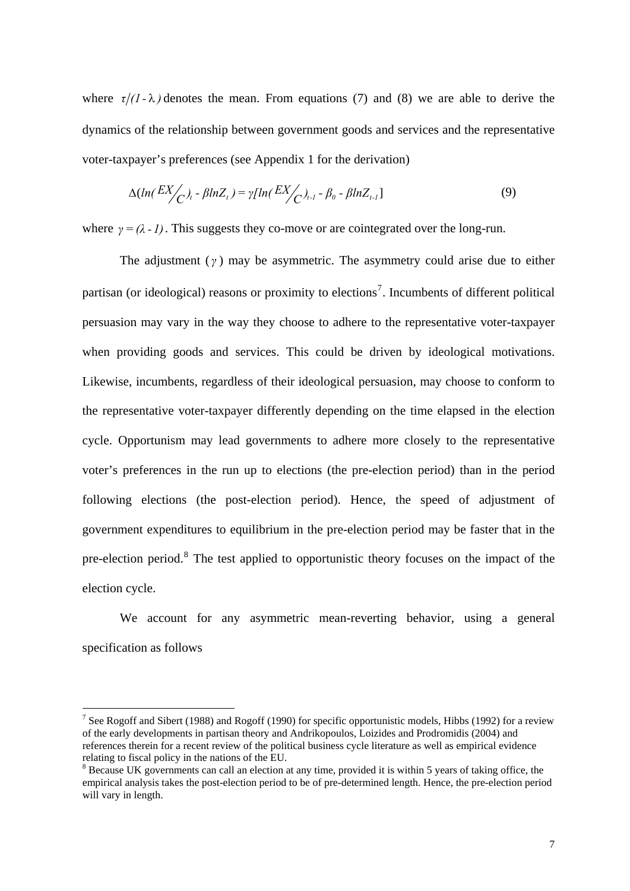where  $\tau/(1-\lambda)$  denotes the mean. From equations (7) and (8) we are able to derive the dynamics of the relationship between government goods and services and the representative voter-taxpayer's preferences (see Appendix 1 for the derivation)

$$
\Delta(ln(\frac{EX}{C})_t - \beta lnZ_t) = \gamma[ln(\frac{EX}{C})_{t-1} - \beta_0 - \beta lnZ_{t-1}]
$$
\n(9)

where  $\gamma = (\lambda - 1)$ . This suggests they co-move or are cointegrated over the long-run.

The adjustment (*γ* ) may be asymmetric. The asymmetry could arise due to either partisan (or ideological) reasons or proximity to elections<sup>[7](#page-6-0)</sup>. Incumbents of different political persuasion may vary in the way they choose to adhere to the representative voter-taxpayer when providing goods and services. This could be driven by ideological motivations. Likewise, incumbents, regardless of their ideological persuasion, may choose to conform to the representative voter-taxpayer differently depending on the time elapsed in the election cycle. Opportunism may lead governments to adhere more closely to the representative voter's preferences in the run up to elections (the pre-election period) than in the period following elections (the post-election period). Hence, the speed of adjustment of government expenditures to equilibrium in the pre-election period may be faster that in the pre-election period.<sup>[8](#page-6-1)</sup> The test applied to opportunistic theory focuses on the impact of the election cycle.

We account for any asymmetric mean-reverting behavior, using a general specification as follows

<span id="page-6-0"></span><sup>&</sup>lt;sup>7</sup> See Rogoff and Sibert (1988) and Rogoff (1990) for specific opportunistic models, Hibbs (1992) for a review of the early developments in partisan theory and Andrikopoulos, Loizides and Prodromidis (2004) and references therein for a recent review of the political business cycle literature as well as empirical evidence relating to fiscal policy in the nations of the EU.

<span id="page-6-1"></span><sup>&</sup>lt;sup>8</sup> Because UK governments can call an election at any time, provided it is within 5 years of taking office, the empirical analysis takes the post-election period to be of pre-determined length. Hence, the pre-election period will vary in length.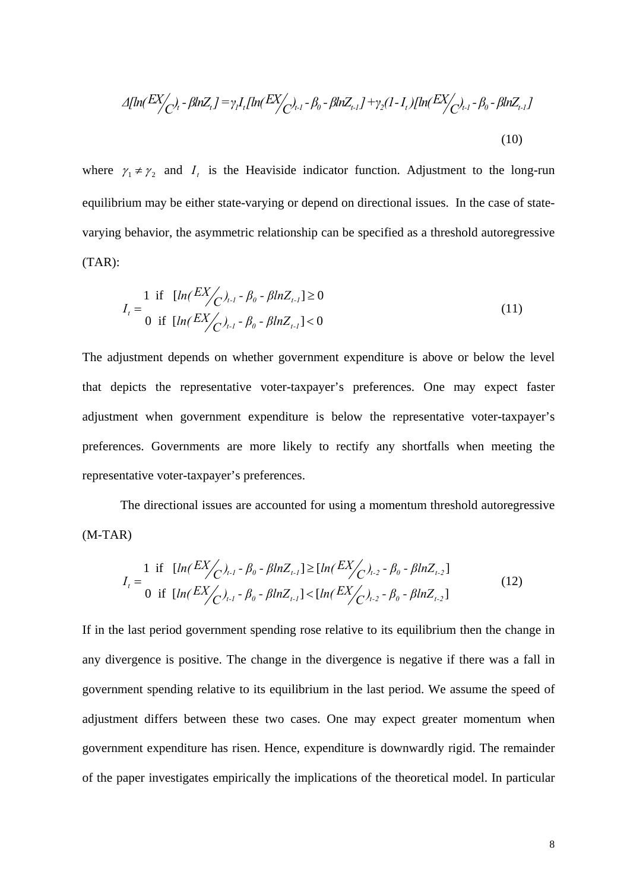$$
\Delta[\ln(\frac{EX}{C})_t - \beta \ln Z_t] = \gamma_l I_t [\ln(\frac{EX}{C})_{t-1} - \beta_0 - \beta \ln Z_{t-1}] + \gamma_2 (1 - I_t) [\ln(\frac{EX}{C})_{t-1} - \beta_0 - \beta \ln Z_{t-1}]
$$
\n(10)

where  $\gamma_1 \neq \gamma_2$  and  $I_t$  is the Heaviside indicator function. Adjustment to the long-run equilibrium may be either state-varying or depend on directional issues. In the case of statevarying behavior, the asymmetric relationship can be specified as a threshold autoregressive (TAR):

$$
I_{t} = \frac{1}{0} \text{ if } [ln(EX/\frac{EX}{C})_{t-1} - \beta_{0} - \beta ln Z_{t-1}] \ge 0
$$
  
0 if  $[ln(EX/\frac{EX}{C})_{t-1} - \beta_{0} - \beta ln Z_{t-1}] < 0$  (11)

The adjustment depends on whether government expenditure is above or below the level that depicts the representative voter-taxpayer's preferences. One may expect faster adjustment when government expenditure is below the representative voter-taxpayer's preferences. Governments are more likely to rectify any shortfalls when meeting the representative voter-taxpayer's preferences.

The directional issues are accounted for using a momentum threshold autoregressive (M-TAR)

$$
I_{t} = \frac{1}{0} \text{ if } [ln(EX_{C})_{t-1} - \beta_{0} - \beta ln Z_{t-1}] \ge [ln(EX_{C})_{t-2} - \beta_{0} - \beta ln Z_{t-2}]
$$
  
0 if  $[ln(EX_{C})_{t-1} - \beta_{0} - \beta ln Z_{t-1}] < [ln(EX_{C})_{t-2} - \beta_{0} - \beta ln Z_{t-2}]$  (12)

If in the last period government spending rose relative to its equilibrium then the change in any divergence is positive. The change in the divergence is negative if there was a fall in government spending relative to its equilibrium in the last period. We assume the speed of adjustment differs between these two cases. One may expect greater momentum when government expenditure has risen. Hence, expenditure is downwardly rigid. The remainder of the paper investigates empirically the implications of the theoretical model. In particular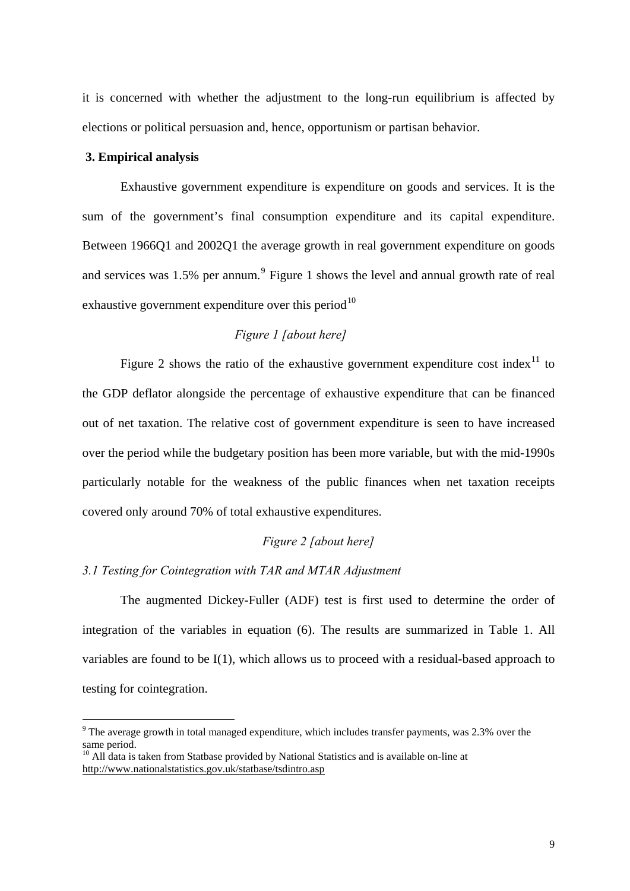it is concerned with whether the adjustment to the long-run equilibrium is affected by elections or political persuasion and, hence, opportunism or partisan behavior.

## **3. Empirical analysis**

1

Exhaustive government expenditure is expenditure on goods and services. It is the sum of the government's final consumption expenditure and its capital expenditure. Between 1966Q1 and 2002Q1 the average growth in real government expenditure on goods and services was  $1.5\%$  per annum.<sup>[9](#page-8-0)</sup> Figure 1 shows the level and annual growth rate of real exhaustive government expenditure over this period<sup>[10](#page-8-1)</sup>

# *Figure 1 [about here]*

Figure 2 shows the ratio of the exhaustive government expenditure cost index<sup>[11](#page-8-2)</sup> to the GDP deflator alongside the percentage of exhaustive expenditure that can be financed out of net taxation. The relative cost of government expenditure is seen to have increased over the period while the budgetary position has been more variable, but with the mid-1990s particularly notable for the weakness of the public finances when net taxation receipts covered only around 70% of total exhaustive expenditures.

## *Figure 2 [about here]*

### *3.1 Testing for Cointegration with TAR and MTAR Adjustment*

<span id="page-8-2"></span>The augmented Dickey-Fuller (ADF) test is first used to determine the order of integration of the variables in equation (6). The results are summarized in Table 1. All variables are found to be I(1), which allows us to proceed with a residual-based approach to testing for cointegration.

<span id="page-8-0"></span> $9$  The average growth in total managed expenditure, which includes transfer payments, was 2.3% over the same period.

<span id="page-8-1"></span><sup>&</sup>lt;sup>10</sup> All data is taken from Statbase provided by National Statistics and is available on-line at <http://www.nationalstatistics.gov.uk/statbase/tsdintro.asp>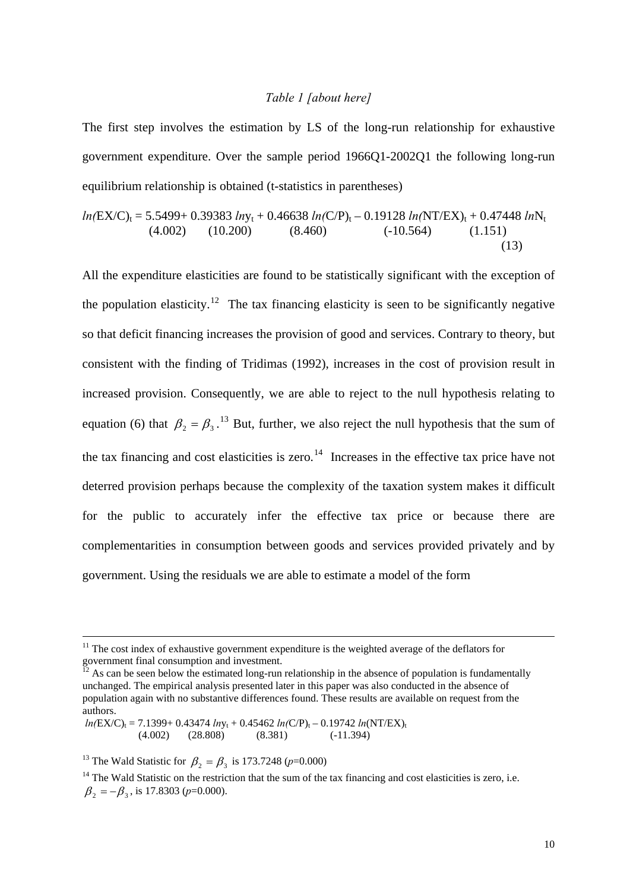### *Table 1 [about here]*

The first step involves the estimation by LS of the long-run relationship for exhaustive government expenditure. Over the sample period 1966Q1-2002Q1 the following long-run equilibrium relationship is obtained (t-statistics in parentheses)

$$
ln(EX/C)_t = 5.5499 + 0.39383 lny_t + 0.46638 ln(C/P)_t - 0.19128 ln(NT/EX)_t + 0.47448 lnN_t
$$
  
(4.002) (10.200) (8.460) (-10.564) (1.151) (13)

All the expenditure elasticities are found to be statistically significant with the exception of the population elasticity.<sup>[12](#page-9-0)</sup> The tax financing elasticity is seen to be significantly negative so that deficit financing increases the provision of good and services. Contrary to theory, but consistent with the finding of Tridimas (1992), increases in the cost of provision result in increased provision. Consequently, we are able to reject to the null hypothesis relating to equation (6) that  $\beta_2 = \beta_3$ .<sup>[13](#page-9-1)</sup> But, further, we also reject the null hypothesis that the sum of the tax financing and cost elasticities is zero.<sup>[14](#page-9-2)</sup> Increases in the effective tax price have not deterred provision perhaps because the complexity of the taxation system makes it difficult for the public to accurately infer the effective tax price or because there are complementarities in consumption between goods and services provided privately and by government. Using the residuals we are able to estimate a model of the form

<sup>&</sup>lt;sup>11</sup> The cost index of exhaustive government expenditure is the weighted average of the deflators for government final consumption and investment.

<span id="page-9-0"></span> $^{12}$  As can be seen below the estimated long-run relationship in the absence of population is fundamentally unchanged. The empirical analysis presented later in this paper was also conducted in the absence of population again with no substantive differences found. These results are available on request from the authors.

 $ln(EX/C)_t = 7.1399 + 0.43474 lny_t + 0.45462 ln(C/P)_t - 0.19742 ln(NT/EX)_t$ <br>(4.002) (28.808) (8.381) (-11.394)  $(-11.394)$ 

<span id="page-9-1"></span><sup>&</sup>lt;sup>13</sup> The Wald Statistic for  $\beta_2 = \beta_3$  is 173.7248 (*p*=0.000)

<span id="page-9-2"></span><sup>&</sup>lt;sup>14</sup> The Wald Statistic on the restriction that the sum of the tax financing and cost elasticities is zero, i.e.  $\beta_2 = -\beta_3$ , is 17.8303 (*p*=0.000).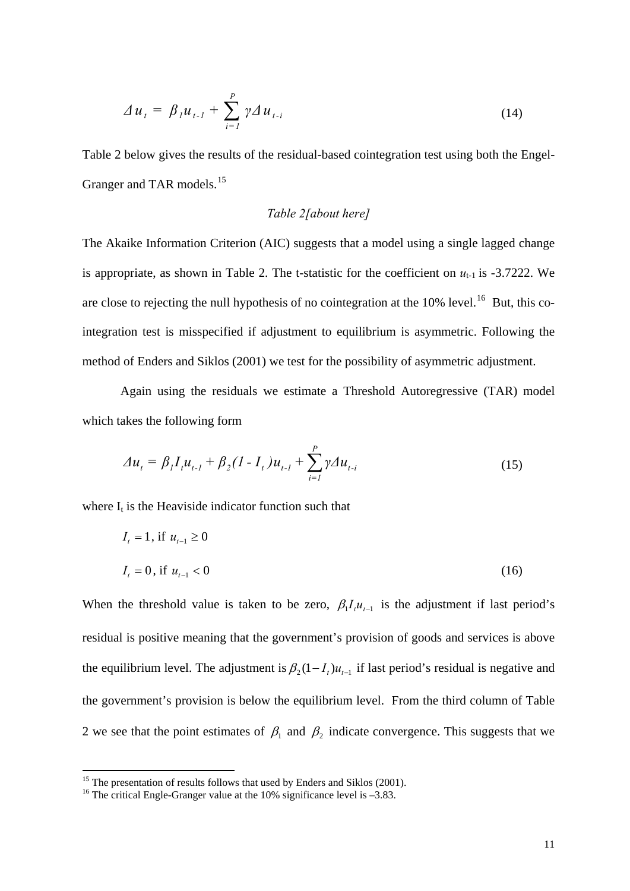$$
\Delta u_{t} = \beta_{l} u_{t-l} + \sum_{i=1}^{P} \gamma \Delta u_{t-i}
$$
 (14)

Table 2 below gives the results of the residual-based cointegration test using both the Engel-Granger and TAR models.<sup>[15](#page-10-0)</sup>

## *Table 2[about here]*

The Akaike Information Criterion (AIC) suggests that a model using a single lagged change is appropriate, as shown in Table 2. The t-statistic for the coefficient on  $u_{t-1}$  is -3.7222. We are close to rejecting the null hypothesis of no cointegration at the  $10\%$  level.<sup>[16](#page-10-1)</sup> But, this cointegration test is misspecified if adjustment to equilibrium is asymmetric. Following the method of Enders and Siklos (2001) we test for the possibility of asymmetric adjustment.

Again using the residuals we estimate a Threshold Autoregressive (TAR) model which takes the following form

$$
\Delta u_t = \beta_l I_t u_{t-l} + \beta_2 (1 - I_t) u_{t-l} + \sum_{i=1}^p \gamma \Delta u_{t-i}
$$
\n(15)

where  $I_t$  is the Heaviside indicator function such that

$$
I_{t} = 1, \text{ if } u_{t-1} \ge 0
$$
  

$$
I_{t} = 0, \text{ if } u_{t-1} < 0
$$
 (16)

When the threshold value is taken to be zero,  $\beta_1 I_i u_{t-1}$  is the adjustment if last period's residual is positive meaning that the government's provision of goods and services is above the equilibrium level. The adjustment is  $\beta_2(1 - I_t)u_{t-1}$  if last period's residual is negative and the government's provision is below the equilibrium level. From the third column of Table 2 we see that the point estimates of  $\beta_1$  and  $\beta_2$  indicate convergence. This suggests that we

<span id="page-10-0"></span> $15$ <sup>15</sup> The presentation of results follows that used by Enders and Siklos (2001).

<span id="page-10-1"></span><sup>&</sup>lt;sup>16</sup> The critical Engle-Granger value at the 10% significance level is -3.83.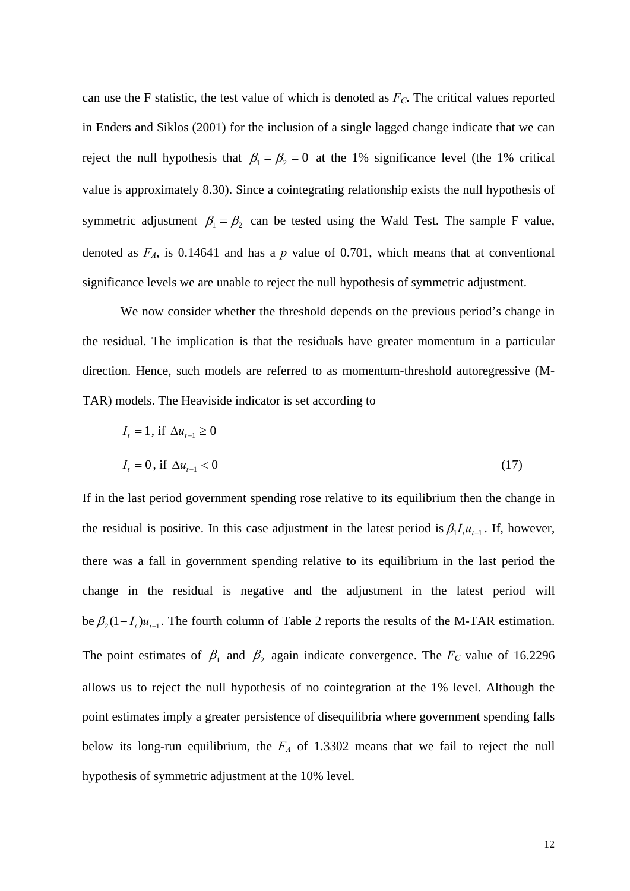can use the F statistic, the test value of which is denoted as  $F_C$ . The critical values reported in Enders and Siklos (2001) for the inclusion of a single lagged change indicate that we can reject the null hypothesis that  $\beta_1 = \beta_2 = 0$  at the 1% significance level (the 1% critical value is approximately 8.30). Since a cointegrating relationship exists the null hypothesis of symmetric adjustment  $\beta_1 = \beta_2$  can be tested using the Wald Test. The sample F value, denoted as  $F_A$ , is 0.14641 and has a  $p$  value of 0.701, which means that at conventional significance levels we are unable to reject the null hypothesis of symmetric adjustment.

We now consider whether the threshold depends on the previous period's change in the residual. The implication is that the residuals have greater momentum in a particular direction. Hence, such models are referred to as momentum-threshold autoregressive (M-TAR) models. The Heaviside indicator is set according to

$$
I_{t} = 1, \text{ if } \Delta u_{t-1} \ge 0
$$
  

$$
I_{t} = 0, \text{ if } \Delta u_{t-1} < 0
$$
 (17)

If in the last period government spending rose relative to its equilibrium then the change in the residual is positive. In this case adjustment in the latest period is  $\beta_1 I_i u_{i-1}$ . If, however, there was a fall in government spending relative to its equilibrium in the last period the change in the residual is negative and the adjustment in the latest period will be  $\beta_2 (1 - I_t) u_{t-1}$ . The fourth column of Table 2 reports the results of the M-TAR estimation. The point estimates of  $\beta_1$  and  $\beta_2$  again indicate convergence. The  $F_C$  value of 16.2296 allows us to reject the null hypothesis of no cointegration at the 1% level. Although the point estimates imply a greater persistence of disequilibria where government spending falls below its long-run equilibrium, the  $F_A$  of 1.3302 means that we fail to reject the null hypothesis of symmetric adjustment at the 10% level.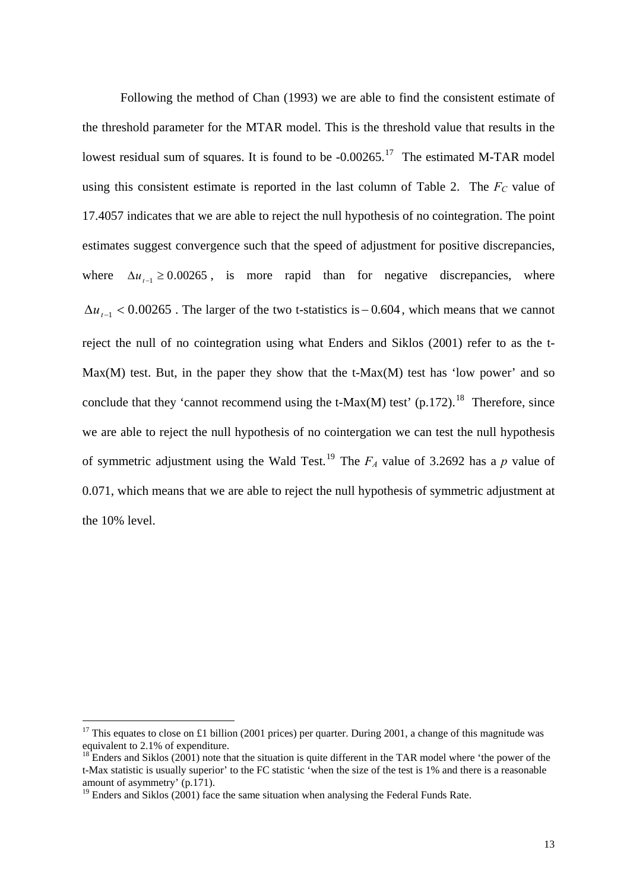Following the method of Chan (1993) we are able to find the consistent estimate of the threshold parameter for the MTAR model. This is the threshold value that results in the lowest residual sum of squares. It is found to be  $-0.00265$ .<sup>[17](#page-12-0)</sup> The estimated M-TAR model using this consistent estimate is reported in the last column of Table 2. The  $F_C$  value of 17.4057 indicates that we are able to reject the null hypothesis of no cointegration. The point estimates suggest convergence such that the speed of adjustment for positive discrepancies, where  $\Delta u_{t-1} \geq 0.00265$ , is more rapid than for negative discrepancies, where  $\Delta u_{t-1}$  < 0.00265. The larger of the two t-statistics is – 0.604, which means that we cannot reject the null of no cointegration using what Enders and Siklos (2001) refer to as the t- $Max(M)$  test. But, in the paper they show that the t-Max $(M)$  test has 'low power' and so conclude that they 'cannot recommend using the t-Max $(M)$  test'  $(p.172)$ .<sup>[18](#page-12-1)</sup> Therefore, since we are able to reject the null hypothesis of no cointergation we can test the null hypothesis of symmetric adjustment using the Wald Test.<sup>[19](#page-12-2)</sup> The  $F_A$  value of 3.2692 has a *p* value of 0.071, which means that we are able to reject the null hypothesis of symmetric adjustment at the 10% level.

<span id="page-12-0"></span><sup>&</sup>lt;sup>17</sup> This equates to close on £1 billion (2001 prices) per quarter. During 2001, a change of this magnitude was equivalent to 2.1% of expenditure.

<span id="page-12-1"></span> $^{18}$  Enders and Siklos (2001) note that the situation is quite different in the TAR model where 'the power of the t-Max statistic is usually superior' to the FC statistic 'when the size of the test is 1% and there is a reasonable amount of asymmetry' (p.171).

<span id="page-12-2"></span><sup>&</sup>lt;sup>19</sup> Enders and Siklos (2001) face the same situation when analysing the Federal Funds Rate.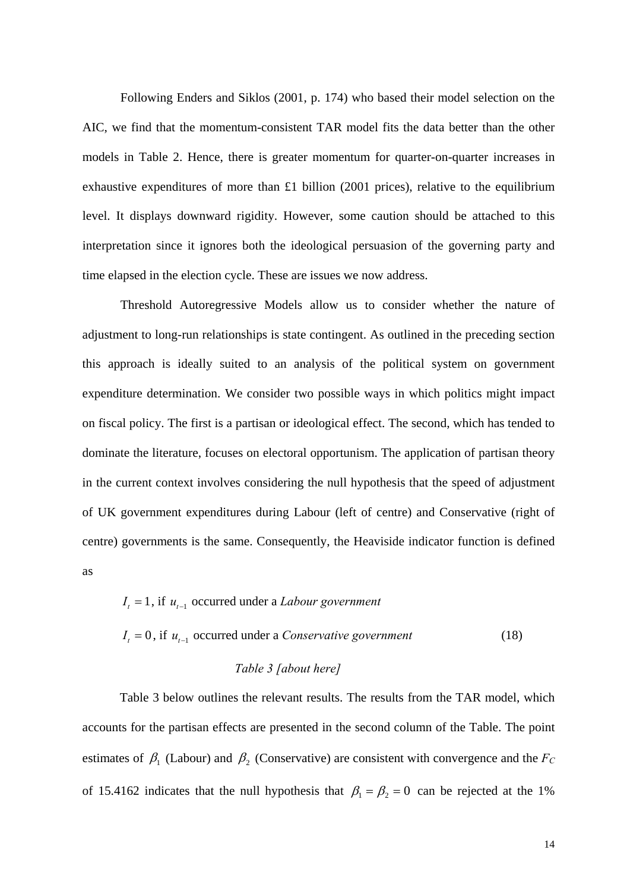Following Enders and Siklos (2001, p. 174) who based their model selection on the AIC, we find that the momentum-consistent TAR model fits the data better than the other models in Table 2. Hence, there is greater momentum for quarter-on-quarter increases in exhaustive expenditures of more than £1 billion (2001 prices), relative to the equilibrium level. It displays downward rigidity. However, some caution should be attached to this interpretation since it ignores both the ideological persuasion of the governing party and time elapsed in the election cycle. These are issues we now address.

Threshold Autoregressive Models allow us to consider whether the nature of adjustment to long-run relationships is state contingent. As outlined in the preceding section this approach is ideally suited to an analysis of the political system on government expenditure determination. We consider two possible ways in which politics might impact on fiscal policy. The first is a partisan or ideological effect. The second, which has tended to dominate the literature, focuses on electoral opportunism. The application of partisan theory in the current context involves considering the null hypothesis that the speed of adjustment of UK government expenditures during Labour (left of centre) and Conservative (right of centre) governments is the same. Consequently, the Heaviside indicator function is defined as

$$
I_{t} = 1, \text{ if } u_{t-1} \text{ occurred under a} \text{ }Labour \text{ government}
$$
\n
$$
I_{t} = 0, \text{ if } u_{t-1} \text{ occurred under a } \text{ }Conservative \text{ government}
$$
\n
$$
Table 3 \text{ } [about \text{ } here]
$$
\n
$$
(18)
$$

Table 3 below outlines the relevant results. The results from the TAR model, which accounts for the partisan effects are presented in the second column of the Table. The point estimates of  $\beta_1$  (Labour) and  $\beta_2$  (Conservative) are consistent with convergence and the  $F_C$ of 15.4162 indicates that the null hypothesis that  $\beta_1 = \beta_2 = 0$  can be rejected at the 1%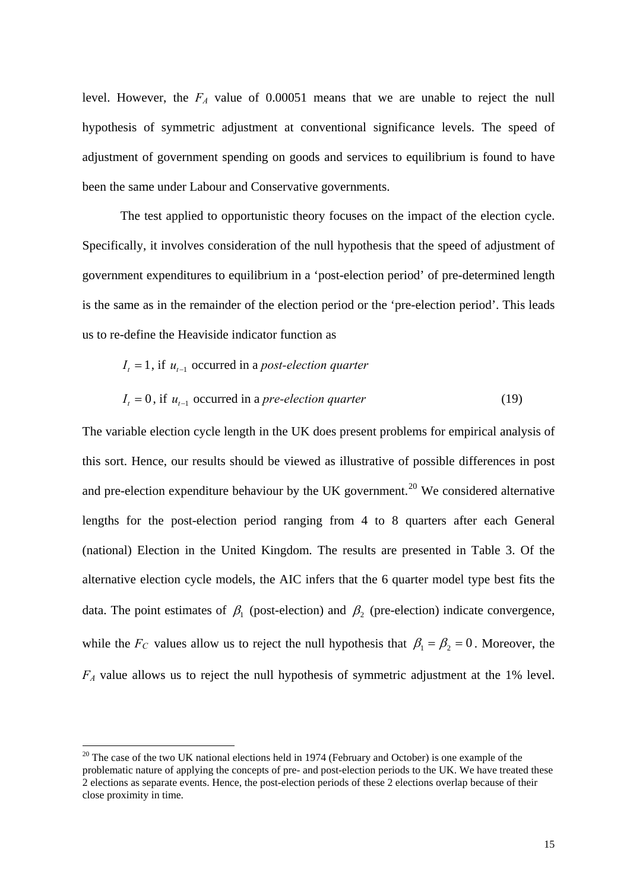level. However, the *FA* value of 0.00051 means that we are unable to reject the null hypothesis of symmetric adjustment at conventional significance levels. The speed of adjustment of government spending on goods and services to equilibrium is found to have been the same under Labour and Conservative governments.

The test applied to opportunistic theory focuses on the impact of the election cycle. Specifically, it involves consideration of the null hypothesis that the speed of adjustment of government expenditures to equilibrium in a 'post-election period' of pre-determined length is the same as in the remainder of the election period or the 'pre-election period'. This leads us to re-define the Heaviside indicator function as

$$
I_{t} = 1, \text{ if } u_{t-1} \text{ occurred in a post-election quarter}
$$
  

$$
I_{t} = 0, \text{ if } u_{t-1} \text{ occurred in a pre-election quarter}
$$
 (19)

The variable election cycle length in the UK does present problems for empirical analysis of this sort. Hence, our results should be viewed as illustrative of possible differences in post and pre-election expenditure behaviour by the UK government.<sup>[20](#page-14-0)</sup> We considered alternative lengths for the post-election period ranging from 4 to 8 quarters after each General (national) Election in the United Kingdom. The results are presented in Table 3. Of the alternative election cycle models, the AIC infers that the 6 quarter model type best fits the data. The point estimates of  $\beta_1$  (post-election) and  $\beta_2$  (pre-election) indicate convergence, while the  $F_C$  values allow us to reject the null hypothesis that  $\beta_1 = \beta_2 = 0$ . Moreover, the *FA* value allows us to reject the null hypothesis of symmetric adjustment at the 1% level.

<span id="page-14-0"></span><sup>&</sup>lt;sup>20</sup> The case of the two UK national elections held in 1974 (February and October) is one example of the problematic nature of applying the concepts of pre- and post-election periods to the UK. We have treated these 2 elections as separate events. Hence, the post-election periods of these 2 elections overlap because of their close proximity in time.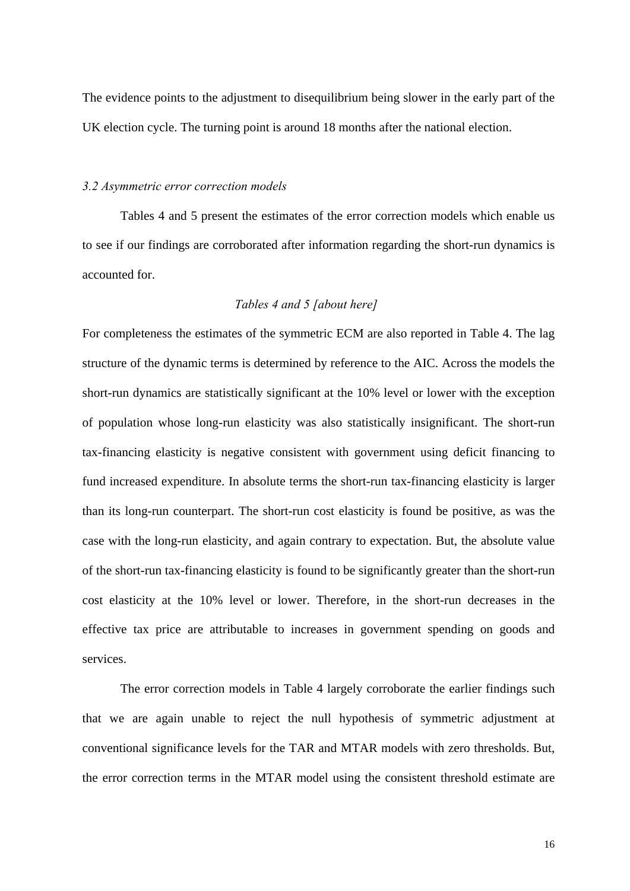The evidence points to the adjustment to disequilibrium being slower in the early part of the UK election cycle. The turning point is around 18 months after the national election.

#### *3.2 Asymmetric error correction models*

Tables 4 and 5 present the estimates of the error correction models which enable us to see if our findings are corroborated after information regarding the short-run dynamics is accounted for.

### *Tables 4 and 5 [about here]*

For completeness the estimates of the symmetric ECM are also reported in Table 4. The lag structure of the dynamic terms is determined by reference to the AIC. Across the models the short-run dynamics are statistically significant at the 10% level or lower with the exception of population whose long-run elasticity was also statistically insignificant. The short-run tax-financing elasticity is negative consistent with government using deficit financing to fund increased expenditure. In absolute terms the short-run tax-financing elasticity is larger than its long-run counterpart. The short-run cost elasticity is found be positive, as was the case with the long-run elasticity, and again contrary to expectation. But, the absolute value of the short-run tax-financing elasticity is found to be significantly greater than the short-run cost elasticity at the 10% level or lower. Therefore, in the short-run decreases in the effective tax price are attributable to increases in government spending on goods and services.

The error correction models in Table 4 largely corroborate the earlier findings such that we are again unable to reject the null hypothesis of symmetric adjustment at conventional significance levels for the TAR and MTAR models with zero thresholds. But, the error correction terms in the MTAR model using the consistent threshold estimate are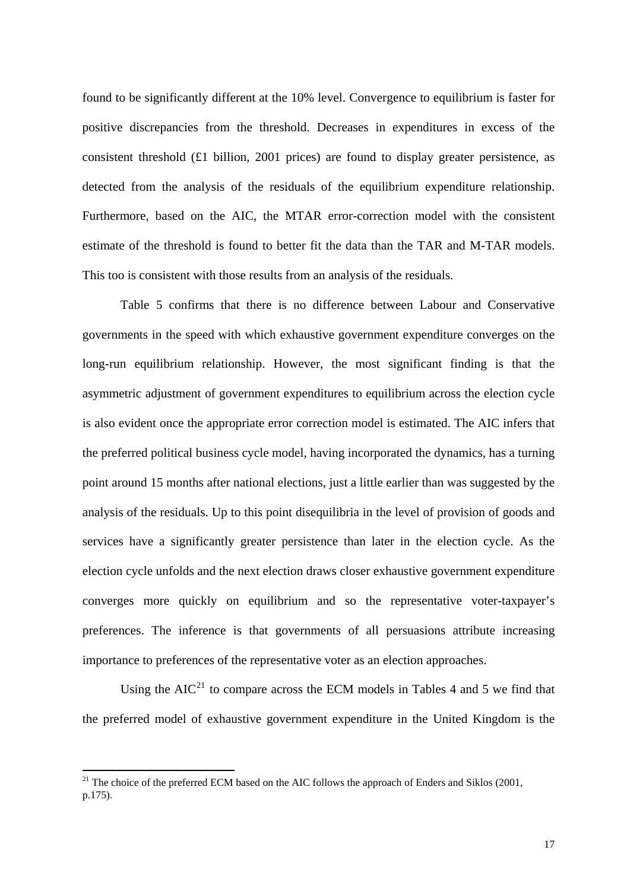found to be significantly different at the 10% level. Convergence to equilibrium is faster for positive discrepancies from the threshold. Decreases in expenditures in excess of the consistent threshold  $(E1 \text{ billion}, 2001 \text{ prices})$  are found to display greater persistence, as detected from the analysis of the residuals of the equilibrium expenditure relationship. Furthermore, based on the AIC, the MTAR error-correction model with the consistent estimate of the threshold is found to better fit the data than the TAR and M-TAR models. This too is consistent with those results from an analysis of the residuals.

Table 5 confirms that there is no difference between Labour and Conservative governments in the speed with which exhaustive government expenditure converges on the long-run equilibrium relationship. However, the most significant finding is that the asymmetric adjustment of government expenditures to equilibrium across the election cycle is also evident once the appropriate error correction model is estimated. The AIC infers that the preferred political business cycle model, having incorporated the dynamics, has a turning point around 15 months after national elections, just a little earlier than was suggested by the analysis of the residuals. Up to this point disequilibria in the level of provision of goods and services have a significantly greater persistence than later in the election cycle. As the election cycle unfolds and the next election draws closer exhaustive government expenditure converges more quickly on equilibrium and so the representative voter-taxpayer's preferences. The inference is that governments of all persuasions attribute increasing importance to preferences of the representative voter as an election approaches.

Using the  $AIC<sup>21</sup>$  $AIC<sup>21</sup>$  $AIC<sup>21</sup>$  to compare across the ECM models in Tables 4 and 5 we find that the preferred model of exhaustive government expenditure in the United Kingdom is the

<span id="page-16-0"></span> $21$  The choice of the preferred ECM based on the AIC follows the approach of Enders and Siklos (2001, p.175).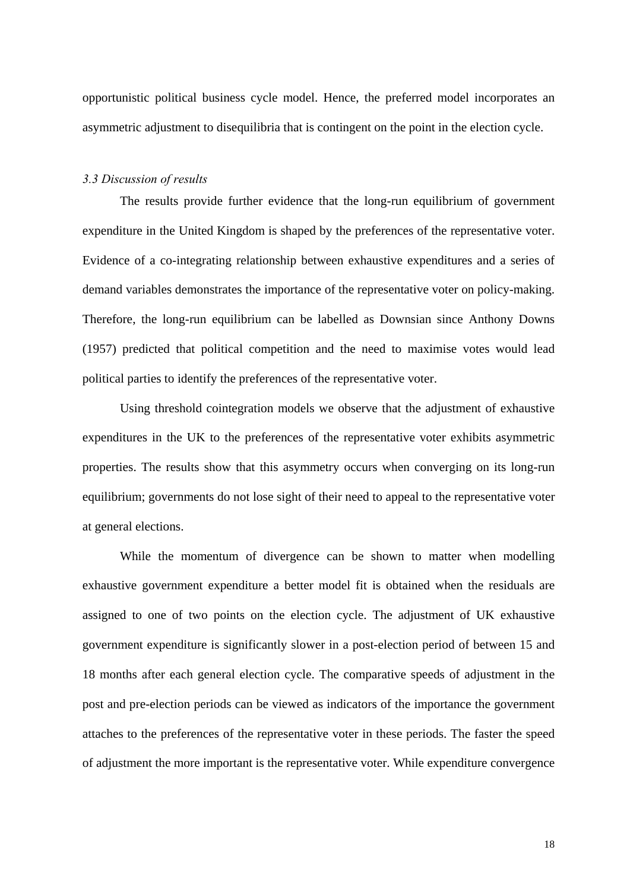opportunistic political business cycle model. Hence, the preferred model incorporates an asymmetric adjustment to disequilibria that is contingent on the point in the election cycle.

## *3.3 Discussion of results*

The results provide further evidence that the long-run equilibrium of government expenditure in the United Kingdom is shaped by the preferences of the representative voter. Evidence of a co-integrating relationship between exhaustive expenditures and a series of demand variables demonstrates the importance of the representative voter on policy-making. Therefore, the long-run equilibrium can be labelled as Downsian since Anthony Downs (1957) predicted that political competition and the need to maximise votes would lead political parties to identify the preferences of the representative voter.

Using threshold cointegration models we observe that the adjustment of exhaustive expenditures in the UK to the preferences of the representative voter exhibits asymmetric properties. The results show that this asymmetry occurs when converging on its long-run equilibrium; governments do not lose sight of their need to appeal to the representative voter at general elections.

While the momentum of divergence can be shown to matter when modelling exhaustive government expenditure a better model fit is obtained when the residuals are assigned to one of two points on the election cycle. The adjustment of UK exhaustive government expenditure is significantly slower in a post-election period of between 15 and 18 months after each general election cycle. The comparative speeds of adjustment in the post and pre-election periods can be viewed as indicators of the importance the government attaches to the preferences of the representative voter in these periods. The faster the speed of adjustment the more important is the representative voter. While expenditure convergence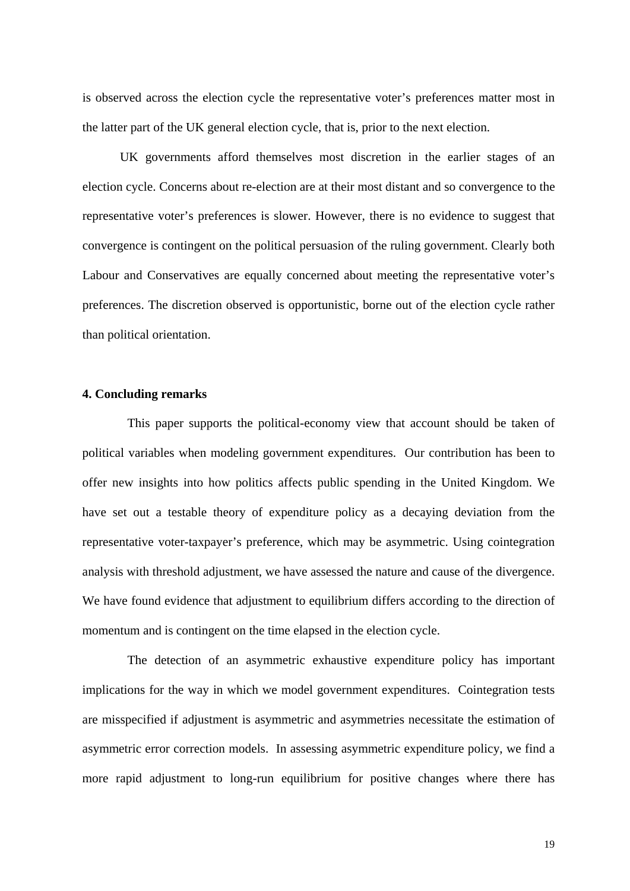is observed across the election cycle the representative voter's preferences matter most in the latter part of the UK general election cycle, that is, prior to the next election.

UK governments afford themselves most discretion in the earlier stages of an election cycle. Concerns about re-election are at their most distant and so convergence to the representative voter's preferences is slower. However, there is no evidence to suggest that convergence is contingent on the political persuasion of the ruling government. Clearly both Labour and Conservatives are equally concerned about meeting the representative voter's preferences. The discretion observed is opportunistic, borne out of the election cycle rather than political orientation.

#### **4. Concluding remarks**

This paper supports the political-economy view that account should be taken of political variables when modeling government expenditures. Our contribution has been to offer new insights into how politics affects public spending in the United Kingdom. We have set out a testable theory of expenditure policy as a decaying deviation from the representative voter-taxpayer's preference, which may be asymmetric. Using cointegration analysis with threshold adjustment, we have assessed the nature and cause of the divergence. We have found evidence that adjustment to equilibrium differs according to the direction of momentum and is contingent on the time elapsed in the election cycle.

The detection of an asymmetric exhaustive expenditure policy has important implications for the way in which we model government expenditures. Cointegration tests are misspecified if adjustment is asymmetric and asymmetries necessitate the estimation of asymmetric error correction models. In assessing asymmetric expenditure policy, we find a more rapid adjustment to long-run equilibrium for positive changes where there has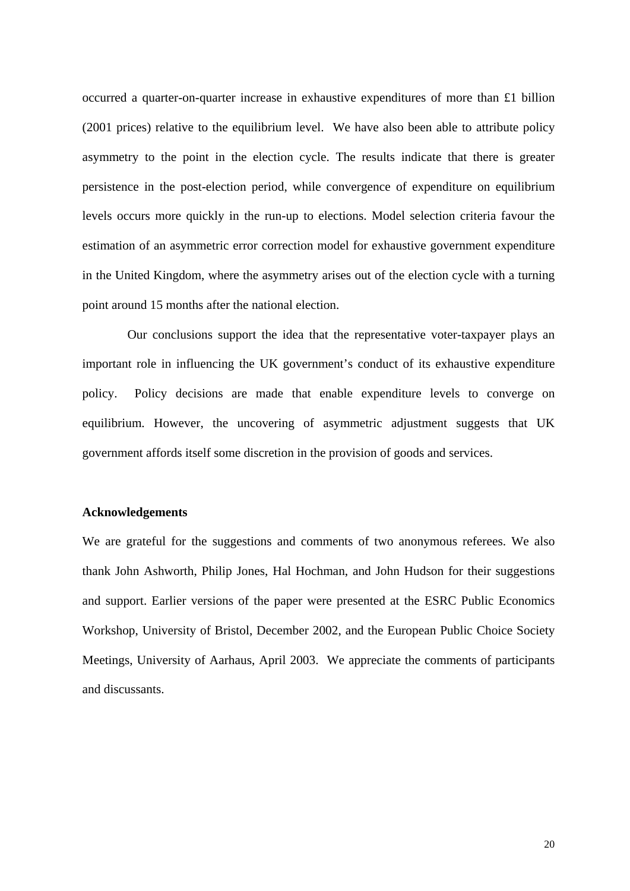occurred a quarter-on-quarter increase in exhaustive expenditures of more than £1 billion (2001 prices) relative to the equilibrium level. We have also been able to attribute policy asymmetry to the point in the election cycle. The results indicate that there is greater persistence in the post-election period, while convergence of expenditure on equilibrium levels occurs more quickly in the run-up to elections. Model selection criteria favour the estimation of an asymmetric error correction model for exhaustive government expenditure in the United Kingdom, where the asymmetry arises out of the election cycle with a turning point around 15 months after the national election.

Our conclusions support the idea that the representative voter-taxpayer plays an important role in influencing the UK government's conduct of its exhaustive expenditure policy. Policy decisions are made that enable expenditure levels to converge on equilibrium. However, the uncovering of asymmetric adjustment suggests that UK government affords itself some discretion in the provision of goods and services.

### **Acknowledgements**

We are grateful for the suggestions and comments of two anonymous referees. We also thank John Ashworth, Philip Jones, Hal Hochman, and John Hudson for their suggestions and support. Earlier versions of the paper were presented at the ESRC Public Economics Workshop, University of Bristol, December 2002, and the European Public Choice Society Meetings, University of Aarhaus, April 2003. We appreciate the comments of participants and discussants.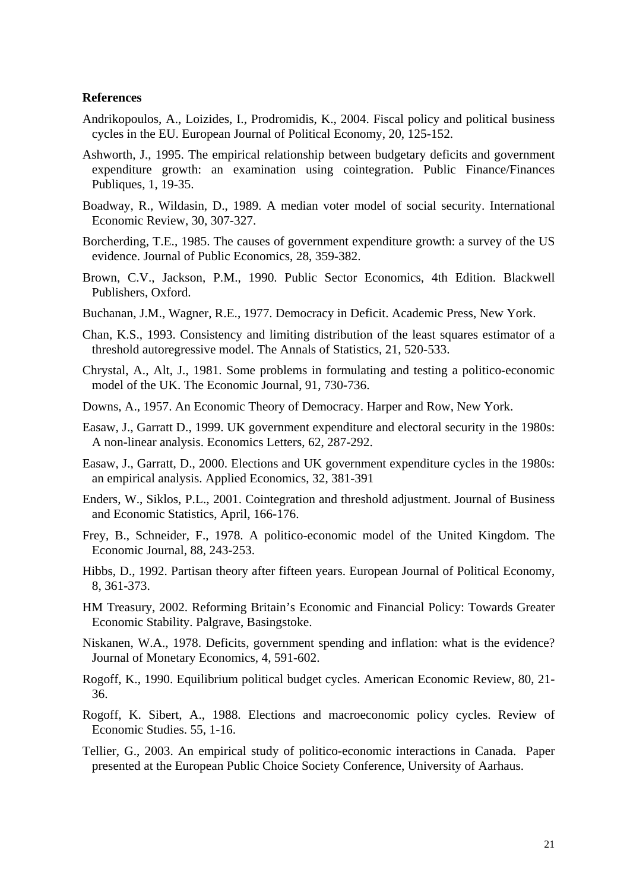#### **References**

- Andrikopoulos, A., Loizides, I., Prodromidis, K., 2004. Fiscal policy and political business cycles in the EU. European Journal of Political Economy, 20, 125-152.
- Ashworth, J., 1995. The empirical relationship between budgetary deficits and government expenditure growth: an examination using cointegration. Public Finance/Finances Publiques, 1, 19-35.
- Boadway, R., Wildasin, D., 1989. A median voter model of social security. International Economic Review, 30, 307-327.
- Borcherding, T.E., 1985. The causes of government expenditure growth: a survey of the US evidence. Journal of Public Economics, 28, 359-382.
- Brown, C.V., Jackson, P.M., 1990. Public Sector Economics, 4th Edition. Blackwell Publishers, Oxford.
- Buchanan, J.M., Wagner, R.E., 1977. Democracy in Deficit. Academic Press, New York.
- Chan, K.S., 1993. Consistency and limiting distribution of the least squares estimator of a threshold autoregressive model. The Annals of Statistics, 21, 520-533.
- Chrystal, A., Alt, J., 1981. Some problems in formulating and testing a politico-economic model of the UK. The Economic Journal, 91, 730-736.
- Downs, A., 1957. An Economic Theory of Democracy. Harper and Row, New York.
- Easaw, J., Garratt D., 1999. UK government expenditure and electoral security in the 1980s: A non-linear analysis. Economics Letters, 62, 287-292.
- Easaw, J., Garratt, D., 2000. Elections and UK government expenditure cycles in the 1980s: an empirical analysis. Applied Economics, 32, 381-391
- Enders, W., Siklos, P.L., 2001. Cointegration and threshold adjustment. Journal of Business and Economic Statistics, April, 166-176.
- Frey, B., Schneider, F., 1978. A politico-economic model of the United Kingdom. The Economic Journal, 88, 243-253.
- Hibbs, D., 1992. Partisan theory after fifteen years. European Journal of Political Economy, 8, 361-373.
- HM Treasury, 2002. Reforming Britain's Economic and Financial Policy: Towards Greater Economic Stability. Palgrave, Basingstoke.
- Niskanen, W.A., 1978. Deficits, government spending and inflation: what is the evidence? Journal of Monetary Economics, 4, 591-602.
- Rogoff, K., 1990. Equilibrium political budget cycles. American Economic Review, 80, 21- 36.
- Rogoff, K. Sibert, A., 1988. Elections and macroeconomic policy cycles. Review of Economic Studies. 55, 1-16.
- Tellier, G., 2003. An empirical study of politico-economic interactions in Canada. Paper presented at the European Public Choice Society Conference, University of Aarhaus.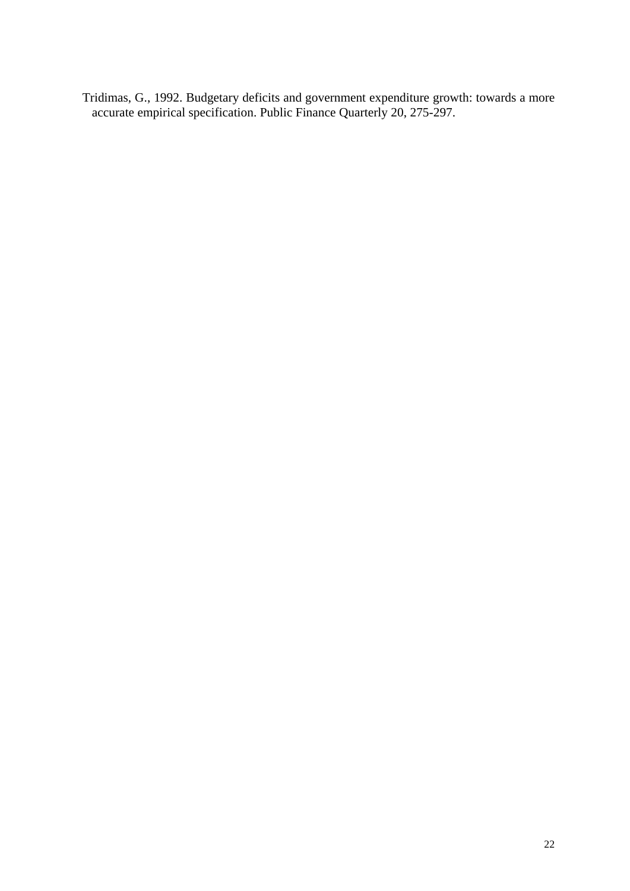Tridimas, G., 1992. Budgetary deficits and government expenditure growth: towards a more accurate empirical specification. Public Finance Quarterly 20, 275-297.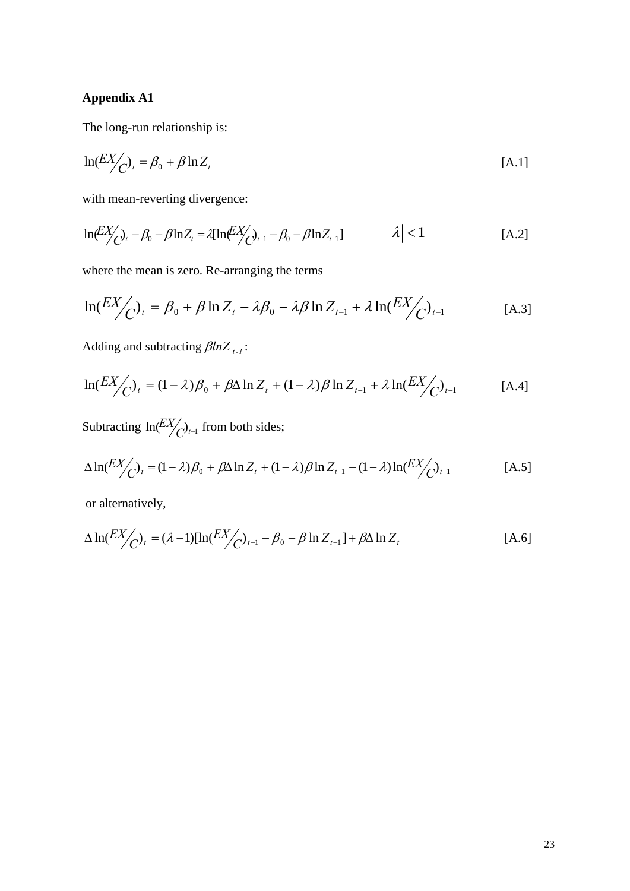# **Appendix A1**

The long-run relationship is:

$$
\ln(EX_{\bigodot})_t = \beta_0 + \beta \ln Z_t \tag{A.1}
$$

with mean-reverting divergence:

$$
\ln \left( \frac{EX}{C} \right)_t - \beta_0 - \beta \ln Z_t = \lambda [\ln \left( \frac{EX}{C} \right)_{t-1} - \beta_0 - \beta \ln Z_{t-1}] \qquad |\lambda| < 1 \tag{A.2}
$$

where the mean is zero. Re-arranging the terms

$$
\ln(EX_{C})_{t} = \beta_{0} + \beta \ln Z_{t} - \lambda \beta_{0} - \lambda \beta \ln Z_{t-1} + \lambda \ln(EX_{C})_{t-1}
$$
 [A.3]

Adding and subtracting  $\beta ln Z_{t-1}$ :

$$
\ln(EX_{C})_{t} = (1 - \lambda)\beta_{0} + \beta\Delta\ln Z_{t} + (1 - \lambda)\beta\ln Z_{t-1} + \lambda\ln(EX_{C})_{t-1}
$$
 [A.4]

Subtracting  $\ln \left( \frac{E X}{C} \right)_{t-1}$  from both sides;

$$
\Delta \ln(EX_{C})_{t} = (1 - \lambda)\beta_{0} + \beta \Delta \ln Z_{t} + (1 - \lambda)\beta \ln Z_{t-1} - (1 - \lambda)\ln(EX_{C})_{t-1}
$$
 [A.5]

or alternatively,

$$
\Delta \ln(EX_{C})_{t} = (\lambda - 1)[\ln(EX_{C})_{t-1} - \beta_{0} - \beta \ln Z_{t-1}] + \beta \Delta \ln Z_{t}
$$
 [A.6]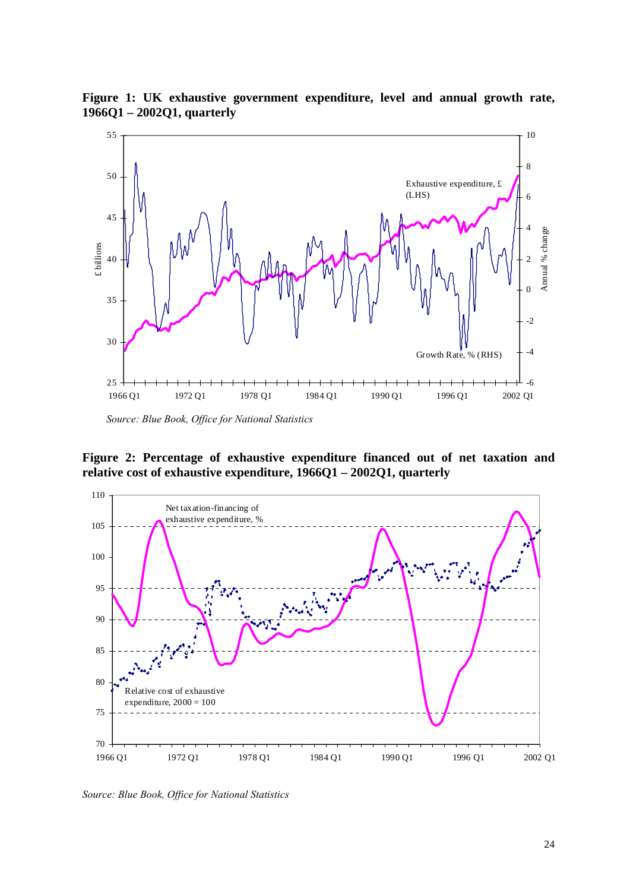**Figure 1: UK exhaustive government expenditure, level and annual growth rate, 1966Q1 – 2002Q1, quarterly** 



 *Source: Blue Book, Office for National Statistics* 

**Figure 2: Percentage of exhaustive expenditure financed out of net taxation and relative cost of exhaustive expenditure, 1966Q1 – 2002Q1, quarterly** 



*Source: Blue Book, Office for National Statistics*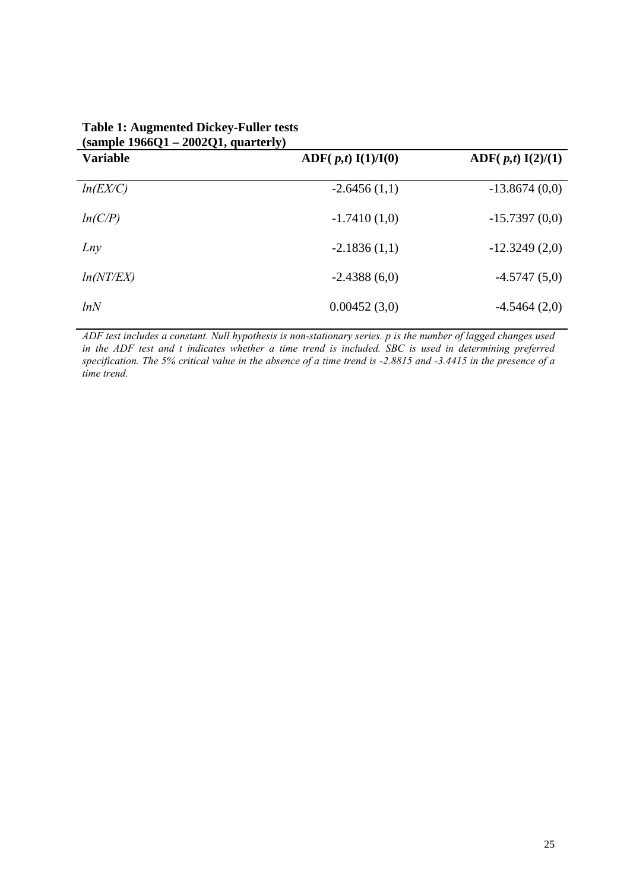| $\sqrt{200}$ $\sqrt{1}$ – $2002$ $\sqrt{1}$ , $\sqrt{200}$ $\sqrt{1}$<br><b>Variable</b> | $\text{ADF}(p,t) \; I(1)/I(0)$ | $\text{ADF}(p,t) I(2)/(1)$ |
|------------------------------------------------------------------------------------------|--------------------------------|----------------------------|
| ln(EX/C)                                                                                 | $-2.6456(1,1)$                 | $-13.8674(0,0)$            |
| ln(C/P)                                                                                  | $-1.7410(1,0)$                 | $-15.7397(0,0)$            |
| Lny                                                                                      | $-2.1836(1,1)$                 | $-12.3249(2,0)$            |
| ln(NT/EX)                                                                                | $-2.4388(6,0)$                 | $-4.5747(5,0)$             |
| lnN                                                                                      | 0.00452(3,0)                   | $-4.5464(2,0)$             |

| <b>Table 1: Augmented Dickey-Fuller tests</b> |
|-----------------------------------------------|
| $(sample 1966Q1 - 2002Q1, quarterly)$         |

*ADF test includes a constant. Null hypothesis is non-stationary series. p is the number of lagged changes used in the ADF test and t indicates whether a time trend is included. SBC is used in determining preferred specification. The 5% critical value in the absence of a time trend is -2.8815 and -3.4415 in the presence of a time trend.*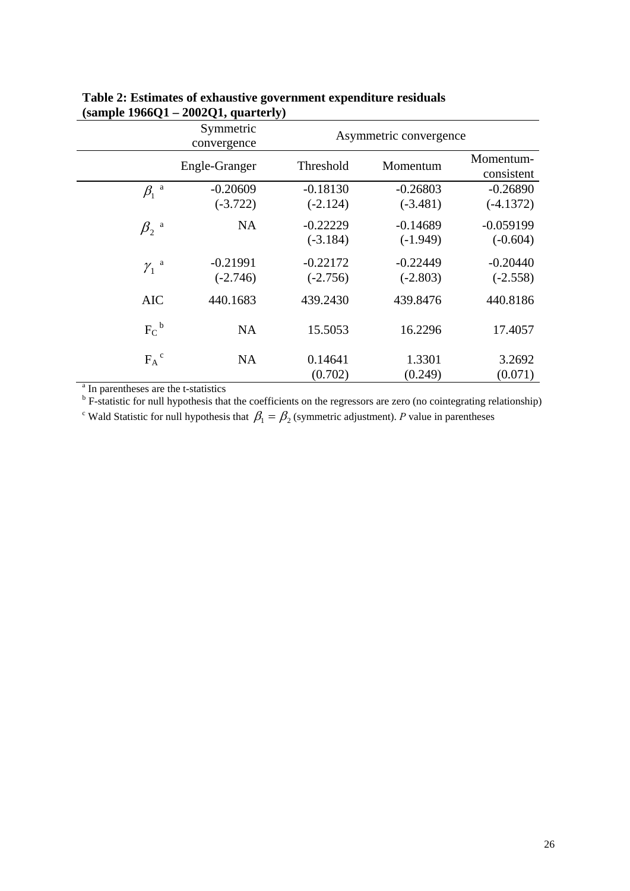|                                                                                                                                                                                   | Symmetric<br>convergence | Asymmetric convergence   |                          |                           |  |
|-----------------------------------------------------------------------------------------------------------------------------------------------------------------------------------|--------------------------|--------------------------|--------------------------|---------------------------|--|
|                                                                                                                                                                                   | Engle-Granger            | Threshold                | Momentum                 | Momentum-<br>consistent   |  |
| $\beta_1$ <sup>a</sup>                                                                                                                                                            | $-0.20609$<br>$(-3.722)$ | $-0.18130$<br>$(-2.124)$ | $-0.26803$<br>$(-3.481)$ | $-0.26890$<br>$(-4.1372)$ |  |
| $\beta_2$ <sup>a</sup>                                                                                                                                                            | <b>NA</b>                | $-0.22229$<br>$(-3.184)$ | $-0.14689$<br>$(-1.949)$ | $-0.059199$<br>$(-0.604)$ |  |
| $\gamma_1$ <sup>a</sup>                                                                                                                                                           | $-0.21991$<br>$(-2.746)$ | $-0.22172$<br>$(-2.756)$ | $-0.22449$<br>$(-2.803)$ | $-0.20440$<br>$(-2.558)$  |  |
| <b>AIC</b>                                                                                                                                                                        | 440.1683                 | 439.2430                 | 439.8476                 | 440.8186                  |  |
| $FC$ <sup>b</sup>                                                                                                                                                                 | <b>NA</b>                | 15.5053                  | 16.2296                  | 17.4057                   |  |
| $F_A^c$                                                                                                                                                                           | <b>NA</b>                | 0.14641<br>(0.702)       | 1.3301<br>(0.249)        | 3.2692<br>(0.071)         |  |
| <sup>a</sup> In parentheses are the t-statistics<br><sup>b</sup> F-statistic for null hypothesis that the coefficients on the regressors are zero (no cointegrating relationship) |                          |                          |                          |                           |  |

# **Table 2: Estimates of exhaustive government expenditure residuals (sample 1966Q1 – 2002Q1, quarterly)**

<sup>c</sup> Wald Statistic for null hypothesis that  $\beta_1 = \beta_2$  (symmetric adjustment). P value in parentheses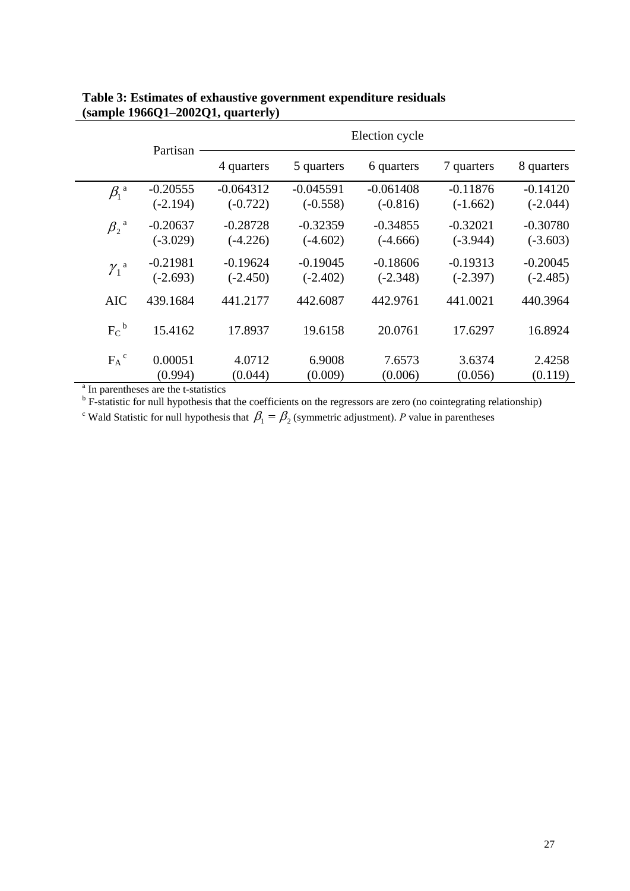| Partisan                                                                                                             |            | Election cycle |             |             |            |            |  |
|----------------------------------------------------------------------------------------------------------------------|------------|----------------|-------------|-------------|------------|------------|--|
|                                                                                                                      | 4 quarters | 5 quarters     | 6 quarters  | 7 quarters  | 8 quarters |            |  |
| $\beta_1$ <sup>a</sup>                                                                                               | $-0.20555$ | $-0.064312$    | $-0.045591$ | $-0.061408$ | $-0.11876$ | $-0.14120$ |  |
|                                                                                                                      | $(-2.194)$ | $(-0.722)$     | $(-0.558)$  | $(-0.816)$  | $(-1.662)$ | $(-2.044)$ |  |
| $\beta_2$ <sup>a</sup>                                                                                               | $-0.20637$ | $-0.28728$     | $-0.32359$  | $-0.34855$  | $-0.32021$ | $-0.30780$ |  |
|                                                                                                                      | $(-3.029)$ | $(-4.226)$     | $(-4.602)$  | $(-4.666)$  | $(-3.944)$ | $(-3.603)$ |  |
|                                                                                                                      | $-0.21981$ | $-0.19624$     | $-0.19045$  | $-0.18606$  | $-0.19313$ | $-0.20045$ |  |
| $\gamma_1$ <sup>a</sup>                                                                                              | $(-2.693)$ | $(-2.450)$     | $(-2.402)$  | $(-2.348)$  | $(-2.397)$ | $(-2.485)$ |  |
| <b>AIC</b>                                                                                                           | 439.1684   | 441.2177       | 442.6087    | 442.9761    | 441.0021   | 440.3964   |  |
| $F_C^{\ b}$                                                                                                          | 15.4162    | 17.8937        | 19.6158     | 20.0761     | 17.6297    | 16.8924    |  |
| $F_A^{\ c}$                                                                                                          | 0.00051    | 4.0712         | 6.9008      | 7.6573      | 3.6374     | 2.4258     |  |
|                                                                                                                      | (0.994)    | (0.044)        | (0.009)     | (0.006)     | (0.056)    | (0.119)    |  |
| <sup>a</sup> In parentheses are the t-statistics                                                                     |            |                |             |             |            |            |  |
| $b$ F-statistic for null hypothesis that the coefficients on the regressors are zero (no cointegrating relationship) |            |                |             |             |            |            |  |

# **Table 3: Estimates of exhaustive government expenditure residuals (sample 1966Q1–2002Q1, quarterly)**

<sup>c</sup> Wald Statistic for null hypothesis that  $\beta_1 = \beta_2$  (symmetric adjustment). *P* value in parentheses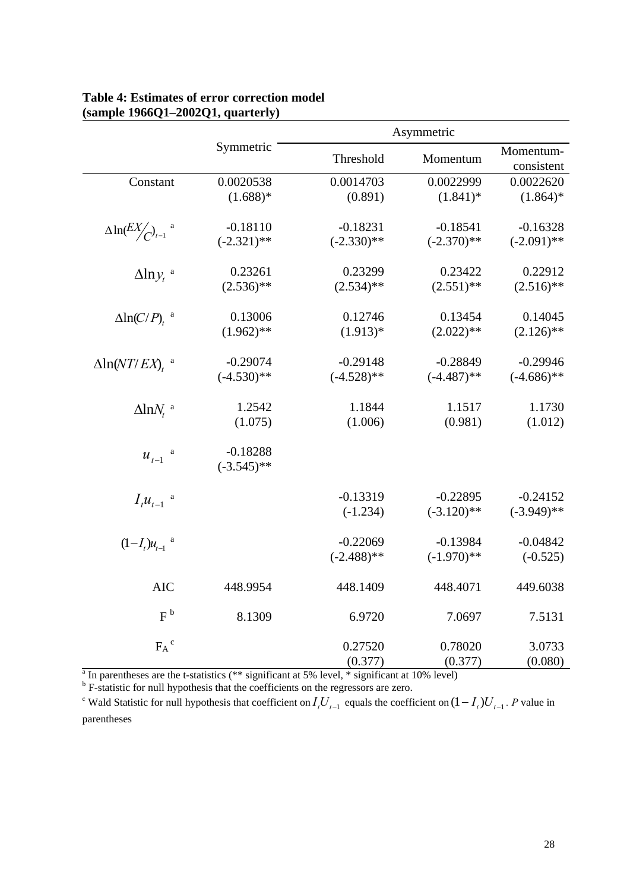|                                                              |               | Asymmetric    |               |               |  |
|--------------------------------------------------------------|---------------|---------------|---------------|---------------|--|
|                                                              | Symmetric     | Threshold     | Momentum      | Momentum-     |  |
|                                                              |               |               |               | consistent    |  |
| Constant                                                     | 0.0020538     | 0.0014703     | 0.0022999     | 0.0022620     |  |
|                                                              | $(1.688)*$    | (0.891)       | $(1.841)^*$   | $(1.864)*$    |  |
|                                                              |               |               |               |               |  |
| $\Delta \ln \left( \frac{EX}{C} \right)_{t-1}$ <sup>a</sup>  | $-0.18110$    | $-0.18231$    | $-0.18541$    | $-0.16328$    |  |
|                                                              | $(-2.321)$ ** | $(-2.330)$ ** | $(-2.370)$ ** | $(-2.091)$ ** |  |
| $\Delta$ lny, a                                              | 0.23261       | 0.23299       | 0.23422       | 0.22912       |  |
|                                                              | $(2.536)$ **  | $(2.534)$ **  | $(2.551)$ **  | $(2.516)$ **  |  |
|                                                              |               |               |               |               |  |
| $\Delta ln(C/P)$ , <sup>a</sup>                              | 0.13006       | 0.12746       | 0.13454       | 0.14045       |  |
|                                                              | $(1.962)$ **  | $(1.913)*$    | $(2.022)$ **  | $(2.126)$ **  |  |
| $\Delta$ ln(NT/EX), <sup>a</sup>                             | $-0.29074$    | $-0.29148$    | $-0.28849$    | $-0.29946$    |  |
|                                                              | $(-4.530)$ ** | $(-4.528)$ ** | $(-4.487)$ ** | $(-4.686)$ ** |  |
|                                                              |               |               |               |               |  |
| $\Delta$ ln $N_t$ <sup>a</sup>                               | 1.2542        | 1.1844        | 1.1517        | 1.1730        |  |
|                                                              | (1.075)       | (1.006)       | (0.981)       | (1.012)       |  |
|                                                              |               |               |               |               |  |
| $u_{t-1}$ $\hspace{0.1cm}$ $\hspace{0.1cm}$ $\hspace{0.1cm}$ | $-0.18288$    |               |               |               |  |
|                                                              | $(-3.545)$ ** |               |               |               |  |
| $I_t u_{t-1}$ <sup>a</sup>                                   |               | $-0.13319$    | $-0.22895$    | $-0.24152$    |  |
|                                                              |               | $(-1.234)$    | $(-3.120)$ ** | $(-3.949)$ ** |  |
|                                                              |               |               |               |               |  |
| $(1-I_t)u_{t-1}$ <sup>a</sup>                                |               | $-0.22069$    | $-0.13984$    | $-0.04842$    |  |
|                                                              |               | $(-2.488)$ ** | $(-1.970)$ ** | $(-0.525)$    |  |
| <b>AIC</b>                                                   | 448.9954      | 448.1409      | 448.4071      | 449.6038      |  |
|                                                              |               |               |               |               |  |
| $F^b$                                                        | 8.1309        | 6.9720        | 7.0697        | 7.5131        |  |
| $F_A^{\ c}$                                                  |               | 0.27520       | 0.78020       | 3.0733        |  |
|                                                              |               | (0.377)       | (0.377)       | (0.080)       |  |

## **Table 4: Estimates of error correction model (sample 1966Q1–2002Q1, quarterly)**

<sup>a</sup> In parentheses are the t-statistics (\*\* significant at 5% level, \* significant at 10% level)<br><sup>b</sup> F-statistic for null hypothesis that the coefficients on the regressors are zero.

<sup>c</sup> Wald Statistic for null hypothesis that coefficient on  $I_t U_{t-1}$  equals the coefficient on  $(1 - I_t)U_{t-1}$ . P value in parentheses